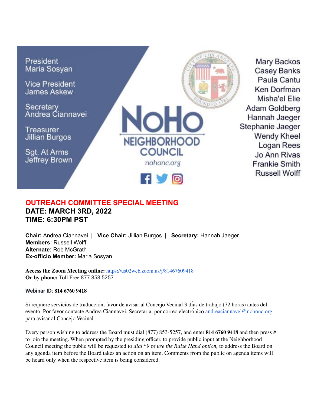

## **OUTREACH COMMITTEE SPECIAL MEETING DATE: MARCH 3RD, 2022 TIME: 6:30PM PST**

**Chair:** Andrea Ciannavei **| Vice Chair:** Jillian Burgos **| Secretary:** Hannah Jaeger **Members:** Russell Wolff **Alternate:** Rob McGrath **Ex-officio Member:** Maria Sosyan

**Access the Zoom Meeting online:** <https://us02web.zoom.us/j/81467609418> **Or by phone:** Toll Free 877 853 5257

**Webinar ID: 814 6760 9418**

Si requiere servicios de traducción, favor de avisar al Concejo Vecinal 3 días de trabajo (72 horas) antes del evento. Por favor contacte Andrea Ciannavei, Secretaria, por correo electronico andreaciannavei@nohonc.org para avisar al Concejo Vecinal.

Every person wishing to address the Board must dial (877) 853-5257, and enter **814 6760 9418** and then press # to join the meeting. When prompted by the presiding officer, to provide public input at the Neighborhood Council meeting the public will be requested to *dial \*9* or *use the Raise Hand option,* to address the Board on any agenda item before the Board takes an action on an item. Comments from the public on agenda items will be heard only when the respective item is being considered.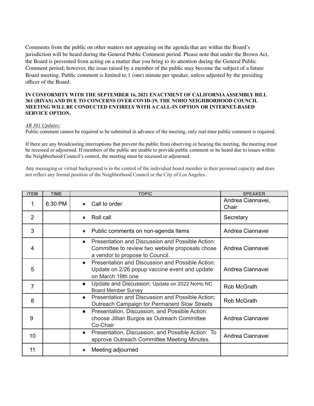Comments from the public on other matters not appearing on the agenda that are within the Board's jurisdiction will be heard during the General Public Comment period. Please note that under the Brown Act, the Board is prevented from acting on a matter that you bring to its attention during the General Public Comment period; however, the issue raised by a member of the public may become the subject of a future Board meeting. Public comment is limited to 1 (one) minute per speaker, unless adjusted by the presiding officer of the Board.

## **IN CONFORMITY WITH THE SEPTEMBER 16, 2021 ENACTMENT OF CALIFORNIAASSEMBLY BILL 361 (RIVAS) AND DUE TO CONCERNS OVER COVID-19, THE NOHO NEIGHBORHOOD COUNCIL MEETING WILL BE CONDUCTED ENTIRELY WITH A CALL-IN OPTION OR INTERNET-BASED SERVICE OPTION.**

## *AB 361 Updates:*

Public comment cannot be required to be submitted in advance of the meeting, only real-time public comment is required.

If there are any broadcasting interruptions that prevent the public from observing or hearing the meeting, the meeting must be recessed or adjourned. If members of the public are unable to provide public comment or be heard due to issues within the Neighborhood Council's control, the meeting must be recessed or adjourned.

Any messaging or virtual background is in the control of the individual board member in their personal capacity and does not reflect any formal position of the Neighborhood Council or the City of Los Angeles.

| <b>ITEM</b>    | <b>TIME</b> | <b>TOPIC</b>                                                                                                                                        | <b>SPEAKER</b>             |
|----------------|-------------|-----------------------------------------------------------------------------------------------------------------------------------------------------|----------------------------|
| 1              | 6:30 PM     | Call to order                                                                                                                                       | Andrea Ciannavei,<br>Chair |
| $\overline{2}$ |             | Roll call<br>$\bullet$                                                                                                                              | Secretary                  |
| 3              |             | Public comments on non-agenda Items<br>$\bullet$                                                                                                    | Andrea Ciannavei           |
| 4              |             | Presentation and Discussion and Possible Action:<br>$\bullet$<br>Committee to review two website proposals chose<br>a vendor to propose to Council. | Andrea Ciannavei           |
| 5              |             | Presentation and Discussion and Possible Action:<br>$\bullet$<br>Update on 2/26 popup vaccine event and update<br>on March 19th one                 | Andrea Ciannavei           |
| $\overline{7}$ |             | Update and Discussion: Update on 2022 NoHo NC<br>$\bullet$<br><b>Board Member Survey</b>                                                            | Rob McGrath                |
| 8              |             | Presentation and Discussion and Possible Action:<br>$\bullet$<br>Outreach Campaign for Permanent Slow Streets                                       | Rob McGrath                |
| 9              |             | Presentation, Discussion, and Possible Action:<br>$\bullet$<br>choose Jillian Burgos as Outreach Committee<br>Co-Chair                              | Andrea Ciannavei           |
| 10             |             | Presentation, Discussion, and Possible Action: To<br>$\bullet$<br>approve Outreach Committee Meeting Minutes.                                       | Andrea Ciannavei           |
| 11             |             | Meeting adjourned<br>$\bullet$                                                                                                                      |                            |